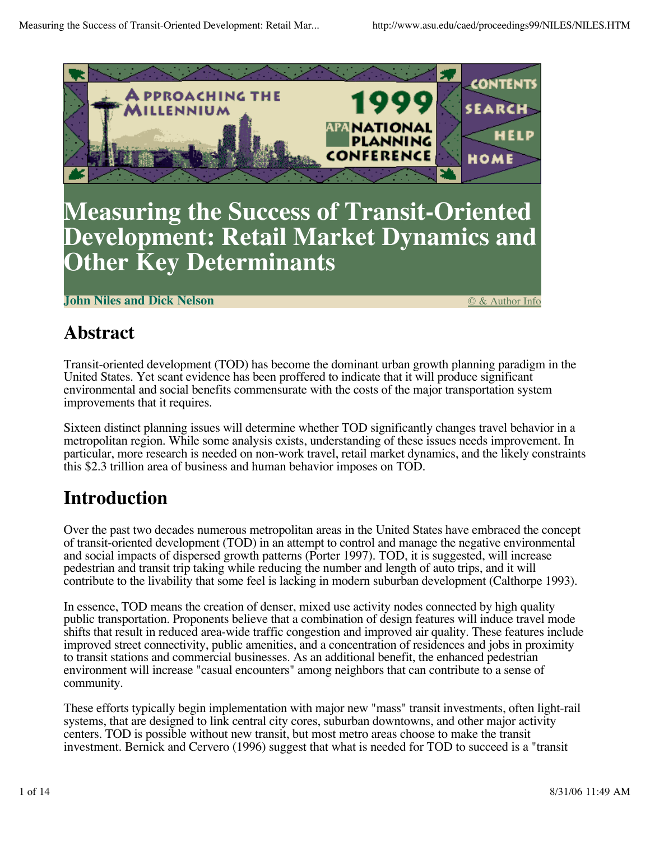

# **Measuring the Success of Transit-Oriented Development: Retail Market Dynamics and Other Key Determinants**

#### **John Niles and Dick Nelson** © & Author Info

## **Abstract**

Transit-oriented development (TOD) has become the dominant urban growth planning paradigm in the United States. Yet scant evidence has been proffered to indicate that it will produce significant environmental and social benefits commensurate with the costs of the major transportation system improvements that it requires.

Sixteen distinct planning issues will determine whether TOD significantly changes travel behavior in a metropolitan region. While some analysis exists, understanding of these issues needs improvement. In particular, more research is needed on non-work travel, retail market dynamics, and the likely constraints this \$2.3 trillion area of business and human behavior imposes on TOD.

## **Introduction**

Over the past two decades numerous metropolitan areas in the United States have embraced the concept of transit-oriented development (TOD) in an attempt to control and manage the negative environmental and social impacts of dispersed growth patterns (Porter 1997). TOD, it is suggested, will increase pedestrian and transit trip taking while reducing the number and length of auto trips, and it will contribute to the livability that some feel is lacking in modern suburban development (Calthorpe 1993).

In essence, TOD means the creation of denser, mixed use activity nodes connected by high quality public transportation. Proponents believe that a combination of design features will induce travel mode shifts that result in reduced area-wide traffic congestion and improved air quality. These features include improved street connectivity, public amenities, and a concentration of residences and jobs in proximity to transit stations and commercial businesses. As an additional benefit, the enhanced pedestrian environment will increase "casual encounters" among neighbors that can contribute to a sense of community.

These efforts typically begin implementation with major new "mass" transit investments, often light-rail systems, that are designed to link central city cores, suburban downtowns, and other major activity centers. TOD is possible without new transit, but most metro areas choose to make the transit investment. Bernick and Cervero (1996) suggest that what is needed for TOD to succeed is a "transit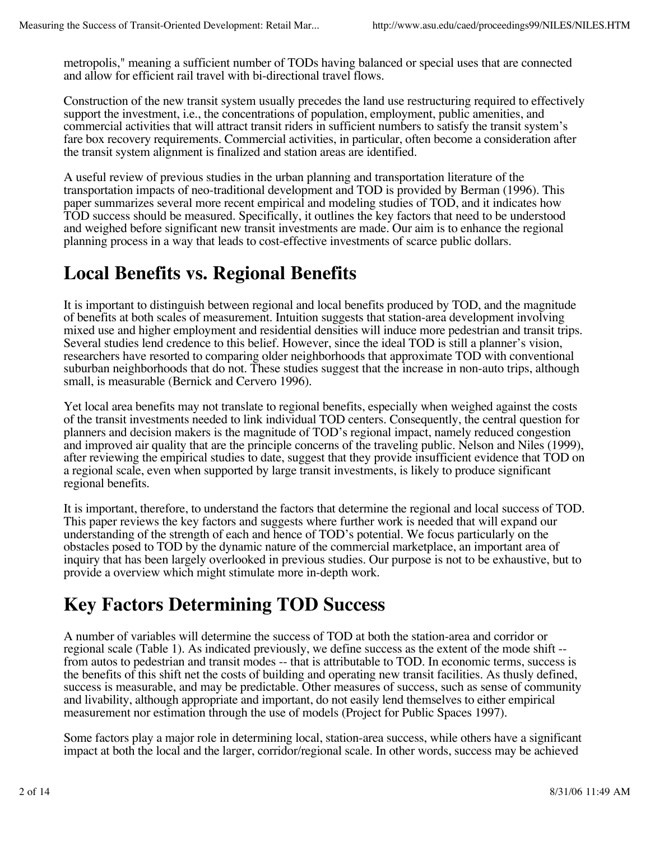metropolis," meaning a sufficient number of TODs having balanced or special uses that are connected and allow for efficient rail travel with bi-directional travel flows.

Construction of the new transit system usually precedes the land use restructuring required to effectively support the investment, i.e., the concentrations of population, employment, public amenities, and commercial activities that will attract transit riders in sufficient numbers to satisfy the transit system's fare box recovery requirements. Commercial activities, in particular, often become a consideration after the transit system alignment is finalized and station areas are identified.

A useful review of previous studies in the urban planning and transportation literature of the transportation impacts of neo-traditional development and TOD is provided by Berman (1996). This paper summarizes several more recent empirical and modeling studies of TOD, and it indicates how TOD success should be measured. Specifically, it outlines the key factors that need to be understood and weighed before significant new transit investments are made. Our aim is to enhance the regional planning process in a way that leads to cost-effective investments of scarce public dollars.

## **Local Benefits vs. Regional Benefits**

It is important to distinguish between regional and local benefits produced by TOD, and the magnitude of benefits at both scales of measurement. Intuition suggests that station-area development involving mixed use and higher employment and residential densities will induce more pedestrian and transit trips. Several studies lend credence to this belief. However, since the ideal TOD is still a planner's vision, researchers have resorted to comparing older neighborhoods that approximate TOD with conventional suburban neighborhoods that do not. These studies suggest that the increase in non-auto trips, although small, is measurable (Bernick and Cervero 1996).

Yet local area benefits may not translate to regional benefits, especially when weighed against the costs of the transit investments needed to link individual TOD centers. Consequently, the central question for planners and decision makers is the magnitude of TOD's regional impact, namely reduced congestion and improved air quality that are the principle concerns of the traveling public. Nelson and Niles (1999), after reviewing the empirical studies to date, suggest that they provide insufficient evidence that TOD on a regional scale, even when supported by large transit investments, is likely to produce significant regional benefits.

It is important, therefore, to understand the factors that determine the regional and local success of TOD. This paper reviews the key factors and suggests where further work is needed that will expand our understanding of the strength of each and hence of TOD's potential. We focus particularly on the obstacles posed to TOD by the dynamic nature of the commercial marketplace, an important area of inquiry that has been largely overlooked in previous studies. Our purpose is not to be exhaustive, but to provide a overview which might stimulate more in-depth work.

## **Key Factors Determining TOD Success**

A number of variables will determine the success of TOD at both the station-area and corridor or regional scale (Table 1). As indicated previously, we define success as the extent of the mode shift - from autos to pedestrian and transit modes -- that is attributable to TOD. In economic terms, success is the benefits of this shift net the costs of building and operating new transit facilities. As thusly defined, success is measurable, and may be predictable. Other measures of success, such as sense of community and livability, although appropriate and important, do not easily lend themselves to either empirical measurement nor estimation through the use of models (Project for Public Spaces 1997).

Some factors play a major role in determining local, station-area success, while others have a significant impact at both the local and the larger, corridor/regional scale. In other words, success may be achieved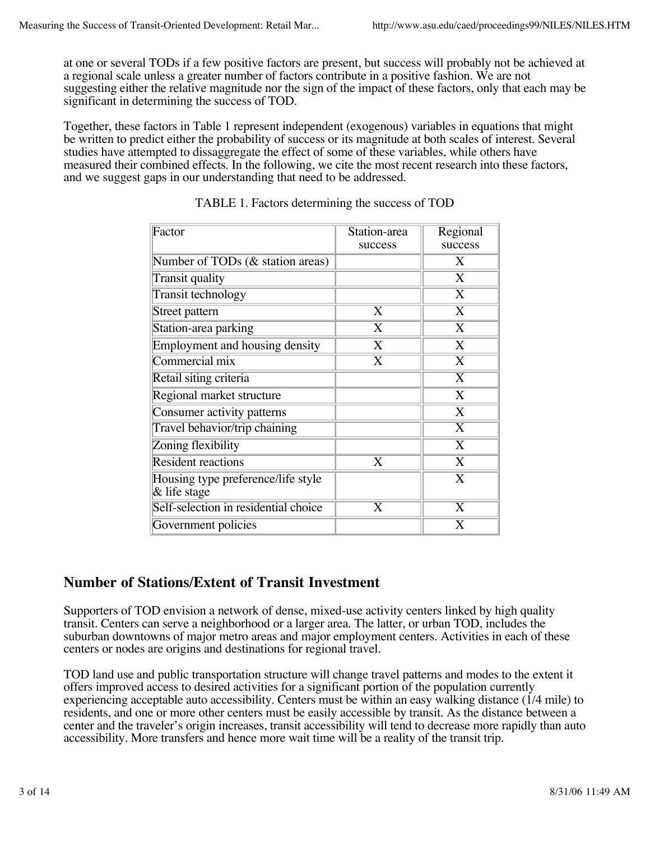at one or several TODs if a few positive factors are present, but success will probably not be achieved at a regional scale unless a greater number of factors contribute in a positive fashion. We are not suggesting either the relative magnitude nor the sign of the impact of these factors, only that each may be significant in determining the success of TOD.

Together, these factors in Table 1 represent independent (exogenous) variables in equations that might be written to predict either the probability of success or its magnitude at both scales of interest. Several studies have attempted to dissaggregate the effect of some of these variables, while others have measured their combined effects. In the following, we cite the most recent research into these factors, and we suggest gaps in our understanding that need to be addressed.

| Factor                                             | Station-area<br>success | Regional<br>success     |
|----------------------------------------------------|-------------------------|-------------------------|
| Number of TODs $(\&$ station areas)                |                         | X                       |
| Transit quality                                    |                         | X                       |
| Transit technology                                 |                         | $\overline{\text{X}}$   |
| Street pattern                                     | $\overline{\text{X}}$   | $\overline{\text{X}}$   |
| Station-area parking                               | X                       | X                       |
| Employment and housing density                     | X                       | X                       |
| Commercial mix                                     | $\overline{\mathrm{X}}$ | $\overline{\text{X}}$   |
| Retail siting criteria                             |                         | $\overline{\mathrm{X}}$ |
| Regional market structure                          |                         | X                       |
| Consumer activity patterns                         |                         | X                       |
| Travel behavior/trip chaining                      |                         | $\overline{\text{X}}$   |
| Zoning flexibility                                 |                         | $\overline{\text{X}}$   |
| <b>Resident reactions</b>                          | X                       | X                       |
| Housing type preference/life style<br>& life stage |                         | X                       |
| Self-selection in residential choice               | $\overline{\text{X}}$   | $\overline{\text{X}}$   |
| Government policies                                |                         | $\overline{\text{X}}$   |

| TABLE 1. Factors determining the success of TOD |  |  |  |
|-------------------------------------------------|--|--|--|
|                                                 |  |  |  |

### **Number of Stations/Extent of Transit Investment**

Supporters of TOD envision a network of dense, mixed-use activity centers linked by high quality transit. Centers can serve a neighborhood or a larger area. The latter, or urban TOD, includes the suburban downtowns of major metro areas and major employment centers. Activities in each of these centers or nodes are origins and destinations for regional travel.

TOD land use and public transportation structure will change travel patterns and modes to the extent it offers improved access to desired activities for a significant portion of the population currently experiencing acceptable auto accessibility. Centers must be within an easy walking distance (1/4 mile) to residents, and one or more other centers must be easily accessible by transit. As the distance between a center and the traveler's origin increases, transit accessibility will tend to decrease more rapidly than auto accessibility. More transfers and hence more wait time will be a reality of the transit trip.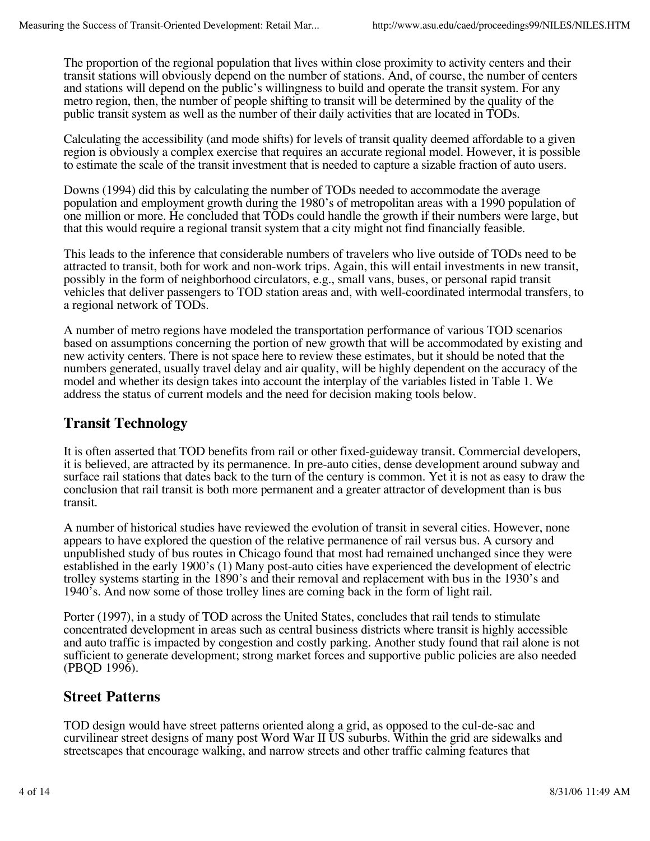The proportion of the regional population that lives within close proximity to activity centers and their transit stations will obviously depend on the number of stations. And, of course, the number of centers and stations will depend on the public's willingness to build and operate the transit system. For any metro region, then, the number of people shifting to transit will be determined by the quality of the public transit system as well as the number of their daily activities that are located in TODs.

Calculating the accessibility (and mode shifts) for levels of transit quality deemed affordable to a given region is obviously a complex exercise that requires an accurate regional model. However, it is possible to estimate the scale of the transit investment that is needed to capture a sizable fraction of auto users.

Downs (1994) did this by calculating the number of TODs needed to accommodate the average population and employment growth during the 1980's of metropolitan areas with a 1990 population of one million or more. He concluded that TODs could handle the growth if their numbers were large, but that this would require a regional transit system that a city might not find financially feasible.

This leads to the inference that considerable numbers of travelers who live outside of TODs need to be attracted to transit, both for work and non-work trips. Again, this will entail investments in new transit, possibly in the form of neighborhood circulators, e.g., small vans, buses, or personal rapid transit vehicles that deliver passengers to TOD station areas and, with well-coordinated intermodal transfers, to a regional network of TODs.

A number of metro regions have modeled the transportation performance of various TOD scenarios based on assumptions concerning the portion of new growth that will be accommodated by existing and new activity centers. There is not space here to review these estimates, but it should be noted that the numbers generated, usually travel delay and air quality, will be highly dependent on the accuracy of the model and whether its design takes into account the interplay of the variables listed in Table 1. We address the status of current models and the need for decision making tools below.

## **Transit Technology**

It is often asserted that TOD benefits from rail or other fixed-guideway transit. Commercial developers, it is believed, are attracted by its permanence. In pre-auto cities, dense development around subway and surface rail stations that dates back to the turn of the century is common. Yet it is not as easy to draw the conclusion that rail transit is both more permanent and a greater attractor of development than is bus transit.

A number of historical studies have reviewed the evolution of transit in several cities. However, none appears to have explored the question of the relative permanence of rail versus bus. A cursory and unpublished study of bus routes in Chicago found that most had remained unchanged since they were established in the early 1900's (1) Many post-auto cities have experienced the development of electric trolley systems starting in the 1890's and their removal and replacement with bus in the 1930's and 1940's. And now some of those trolley lines are coming back in the form of light rail.

Porter (1997), in a study of TOD across the United States, concludes that rail tends to stimulate concentrated development in areas such as central business districts where transit is highly accessible and auto traffic is impacted by congestion and costly parking. Another study found that rail alone is not sufficient to generate development; strong market forces and supportive public policies are also needed (PBQD 1996).

### **Street Patterns**

TOD design would have street patterns oriented along a grid, as opposed to the cul-de-sac and curvilinear street designs of many post Word War II US suburbs. Within the grid are sidewalks and streetscapes that encourage walking, and narrow streets and other traffic calming features that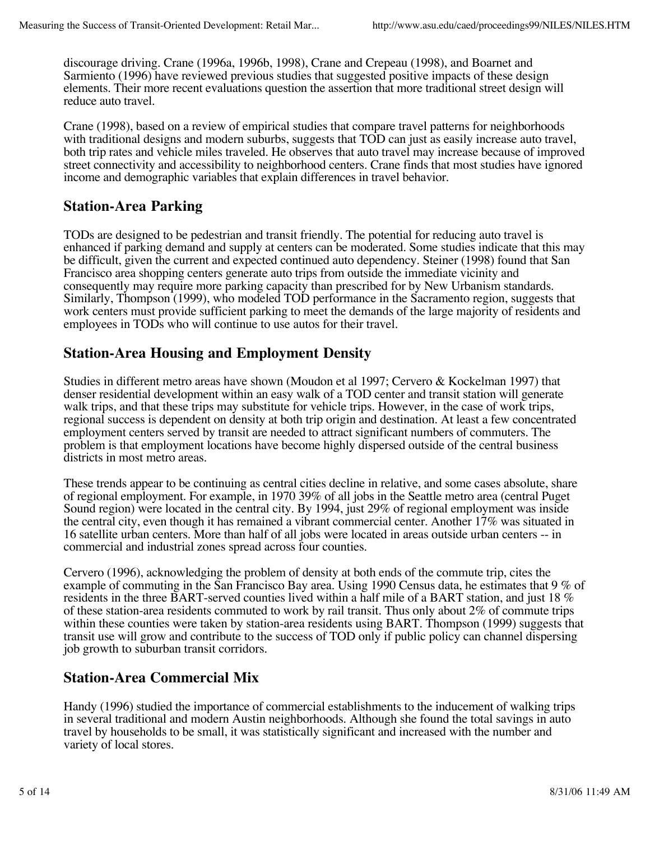discourage driving. Crane (1996a, 1996b, 1998), Crane and Crepeau (1998), and Boarnet and Sarmiento (1996) have reviewed previous studies that suggested positive impacts of these design elements. Their more recent evaluations question the assertion that more traditional street design will reduce auto travel.

Crane (1998), based on a review of empirical studies that compare travel patterns for neighborhoods with traditional designs and modern suburbs, suggests that TOD can just as easily increase auto travel, both trip rates and vehicle miles traveled. He observes that auto travel may increase because of improved street connectivity and accessibility to neighborhood centers. Crane finds that most studies have ignored income and demographic variables that explain differences in travel behavior.

## **Station-Area Parking**

TODs are designed to be pedestrian and transit friendly. The potential for reducing auto travel is enhanced if parking demand and supply at centers can be moderated. Some studies indicate that this may be difficult, given the current and expected continued auto dependency. Steiner (1998) found that San Francisco area shopping centers generate auto trips from outside the immediate vicinity and consequently may require more parking capacity than prescribed for by New Urbanism standards. Similarly, Thompson (1999), who modeled TOD performance in the Sacramento region, suggests that work centers must provide sufficient parking to meet the demands of the large majority of residents and employees in TODs who will continue to use autos for their travel.

### **Station-Area Housing and Employment Density**

Studies in different metro areas have shown (Moudon et al 1997; Cervero & Kockelman 1997) that denser residential development within an easy walk of a TOD center and transit station will generate walk trips, and that these trips may substitute for vehicle trips. However, in the case of work trips, regional success is dependent on density at both trip origin and destination. At least a few concentrated employment centers served by transit are needed to attract significant numbers of commuters. The problem is that employment locations have become highly dispersed outside of the central business districts in most metro areas.

These trends appear to be continuing as central cities decline in relative, and some cases absolute, share of regional employment. For example, in 1970 39% of all jobs in the Seattle metro area (central Puget Sound region) were located in the central city. By 1994, just 29% of regional employment was inside the central city, even though it has remained a vibrant commercial center. Another 17% was situated in 16 satellite urban centers. More than half of all jobs were located in areas outside urban centers -- in commercial and industrial zones spread across four counties.

Cervero (1996), acknowledging the problem of density at both ends of the commute trip, cites the example of commuting in the San Francisco Bay area. Using 1990 Census data, he estimates that 9 % of residents in the three BART-served counties lived within a half mile of a BART station, and just 18 % of these station-area residents commuted to work by rail transit. Thus only about 2% of commute trips within these counties were taken by station-area residents using BART. Thompson (1999) suggests that transit use will grow and contribute to the success of TOD only if public policy can channel dispersing job growth to suburban transit corridors.

### **Station-Area Commercial Mix**

Handy (1996) studied the importance of commercial establishments to the inducement of walking trips in several traditional and modern Austin neighborhoods. Although she found the total savings in auto travel by households to be small, it was statistically significant and increased with the number and variety of local stores.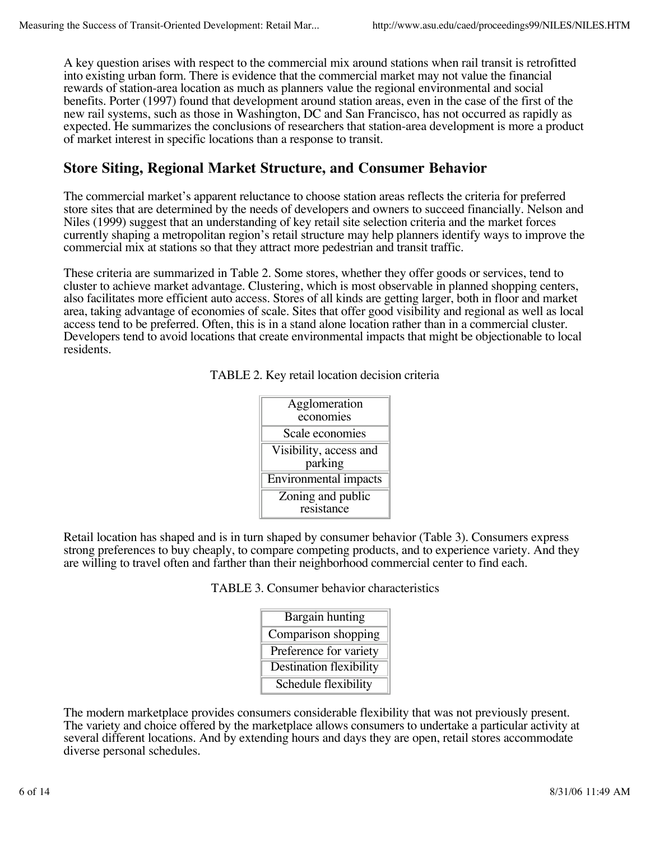A key question arises with respect to the commercial mix around stations when rail transit is retrofitted into existing urban form. There is evidence that the commercial market may not value the financial rewards of station-area location as much as planners value the regional environmental and social benefits. Porter (1997) found that development around station areas, even in the case of the first of the new rail systems, such as those in Washington, DC and San Francisco, has not occurred as rapidly as expected. He summarizes the conclusions of researchers that station-area development is more a product of market interest in specific locations than a response to transit.

## **Store Siting, Regional Market Structure, and Consumer Behavior**

The commercial market's apparent reluctance to choose station areas reflects the criteria for preferred store sites that are determined by the needs of developers and owners to succeed financially. Nelson and Niles (1999) suggest that an understanding of key retail site selection criteria and the market forces currently shaping a metropolitan region's retail structure may help planners identify ways to improve the commercial mix at stations so that they attract more pedestrian and transit traffic.

These criteria are summarized in Table 2. Some stores, whether they offer goods or services, tend to cluster to achieve market advantage. Clustering, which is most observable in planned shopping centers, also facilitates more efficient auto access. Stores of all kinds are getting larger, both in floor and market area, taking advantage of economies of scale. Sites that offer good visibility and regional as well as local access tend to be preferred. Often, this is in a stand alone location rather than in a commercial cluster. Developers tend to avoid locations that create environmental impacts that might be objectionable to local residents.

TABLE 2. Key retail location decision criteria



Retail location has shaped and is in turn shaped by consumer behavior (Table 3). Consumers express strong preferences to buy cheaply, to compare competing products, and to experience variety. And they are willing to travel often and farther than their neighborhood commercial center to find each.

TABLE 3. Consumer behavior characteristics

| <b>Bargain</b> hunting         |
|--------------------------------|
| Comparison shopping            |
| Preference for variety         |
| <b>Destination flexibility</b> |
| Schedule flexibility           |

The modern marketplace provides consumers considerable flexibility that was not previously present. The variety and choice offered by the marketplace allows consumers to undertake a particular activity at several different locations. And by extending hours and days they are open, retail stores accommodate diverse personal schedules.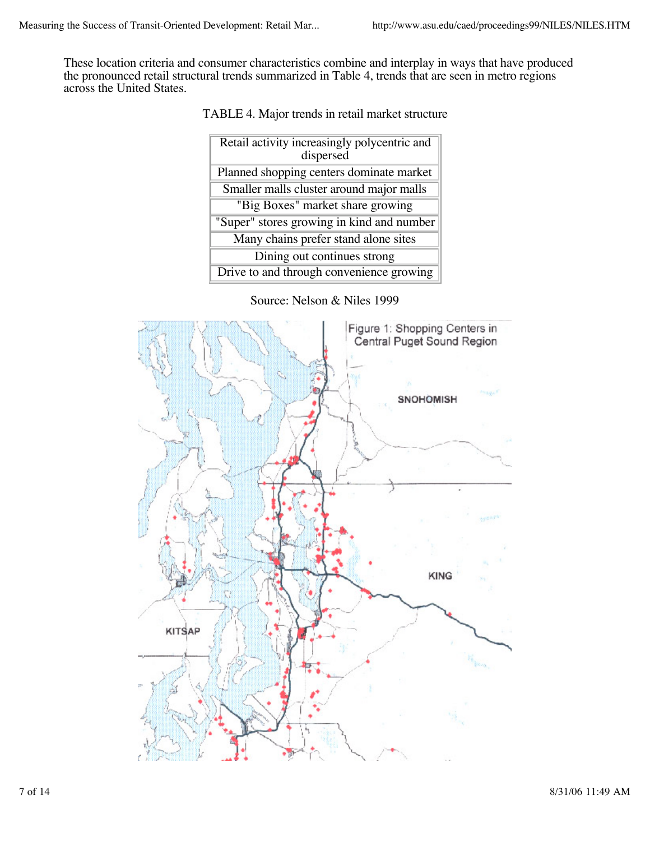These location criteria and consumer characteristics combine and interplay in ways that have produced the pronounced retail structural trends summarized in Table 4, trends that are seen in metro regions across the United States.

| TABLE 4. Major trends in retail market structure |  |
|--------------------------------------------------|--|
|--------------------------------------------------|--|

| Retail activity increasingly polycentric and<br>dispersed |
|-----------------------------------------------------------|
| Planned shopping centers dominate market                  |
| Smaller malls cluster around major malls                  |
| "Big Boxes" market share growing                          |
| "Super" stores growing in kind and number                 |
| Many chains prefer stand alone sites                      |
| Dining out continues strong                               |
| Drive to and through convenience growing                  |

Source: Nelson & Niles 1999

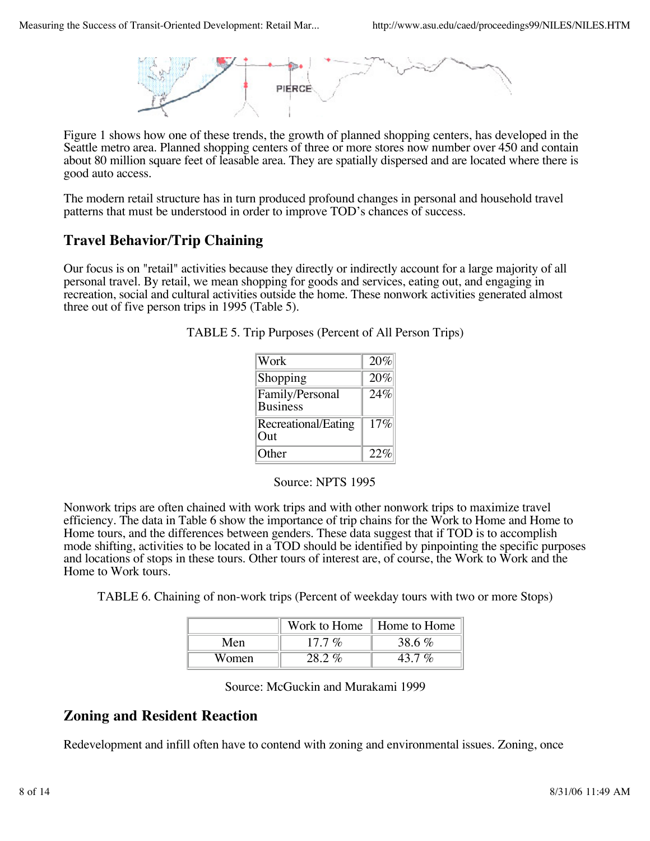

Figure 1 shows how one of these trends, the growth of planned shopping centers, has developed in the Seattle metro area. Planned shopping centers of three or more stores now number over 450 and contain about 80 million square feet of leasable area. They are spatially dispersed and are located where there is good auto access.

The modern retail structure has in turn produced profound changes in personal and household travel patterns that must be understood in order to improve TOD's chances of success.

## **Travel Behavior/Trip Chaining**

Our focus is on "retail" activities because they directly or indirectly account for a large majority of all personal travel. By retail, we mean shopping for goods and services, eating out, and engaging in recreation, social and cultural activities outside the home. These nonwork activities generated almost three out of five person trips in 1995 (Table 5).

|  |  |  | TABLE 5. Trip Purposes (Percent of All Person Trips) |  |  |  |  |
|--|--|--|------------------------------------------------------|--|--|--|--|
|--|--|--|------------------------------------------------------|--|--|--|--|

| Work                               | 20%               |
|------------------------------------|-------------------|
| Shopping                           | 20%               |
| Family/Personal<br><b>Business</b> | $\overline{24\%}$ |
| Recreational/Eating<br>Out         | $\overline{17\%}$ |
| Other                              | 22%               |

Source: NPTS 1995

Nonwork trips are often chained with work trips and with other nonwork trips to maximize travel efficiency. The data in Table 6 show the importance of trip chains for the Work to Home and Home to Home tours, and the differences between genders. These data suggest that if TOD is to accomplish mode shifting, activities to be located in a TOD should be identified by pinpointing the specific purposes and locations of stops in these tours. Other tours of interest are, of course, the Work to Work and the Home to Work tours.

TABLE 6. Chaining of non-work trips (Percent of weekday tours with two or more Stops)

|       |           | Work to Home $\parallel$ Home to Home $\parallel$ |
|-------|-----------|---------------------------------------------------|
| Men   | 17.7 $\%$ | 38.6 $%$                                          |
| Women | $282\%$   | 43.7 $\%$                                         |

Source: McGuckin and Murakami 1999

### **Zoning and Resident Reaction**

Redevelopment and infill often have to contend with zoning and environmental issues. Zoning, once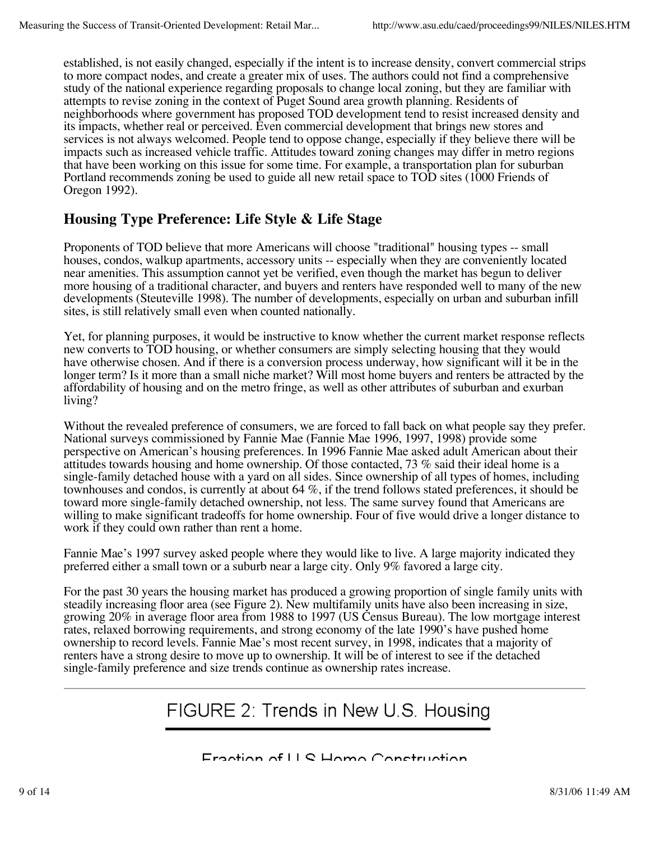established, is not easily changed, especially if the intent is to increase density, convert commercial strips to more compact nodes, and create a greater mix of uses. The authors could not find a comprehensive study of the national experience regarding proposals to change local zoning, but they are familiar with attempts to revise zoning in the context of Puget Sound area growth planning. Residents of neighborhoods where government has proposed TOD development tend to resist increased density and its impacts, whether real or perceived. Even commercial development that brings new stores and services is not always welcomed. People tend to oppose change, especially if they believe there will be impacts such as increased vehicle traffic. Attitudes toward zoning changes may differ in metro regions that have been working on this issue for some time. For example, a transportation plan for suburban Portland recommends zoning be used to guide all new retail space to TOD sites (1000 Friends of Oregon 1992).

### **Housing Type Preference: Life Style & Life Stage**

Proponents of TOD believe that more Americans will choose "traditional" housing types -- small houses, condos, walkup apartments, accessory units -- especially when they are conveniently located near amenities. This assumption cannot yet be verified, even though the market has begun to deliver more housing of a traditional character, and buyers and renters have responded well to many of the new developments (Steuteville 1998). The number of developments, especially on urban and suburban infill sites, is still relatively small even when counted nationally.

Yet, for planning purposes, it would be instructive to know whether the current market response reflects new converts to TOD housing, or whether consumers are simply selecting housing that they would have otherwise chosen. And if there is a conversion process underway, how significant will it be in the longer term? Is it more than a small niche market? Will most home buyers and renters be attracted by the affordability of housing and on the metro fringe, as well as other attributes of suburban and exurban living?

Without the revealed preference of consumers, we are forced to fall back on what people say they prefer. National surveys commissioned by Fannie Mae (Fannie Mae 1996, 1997, 1998) provide some perspective on American's housing preferences. In 1996 Fannie Mae asked adult American about their attitudes towards housing and home ownership. Of those contacted, 73 % said their ideal home is a single-family detached house with a yard on all sides. Since ownership of all types of homes, including townhouses and condos, is currently at about 64 %, if the trend follows stated preferences, it should be toward more single-family detached ownership, not less. The same survey found that Americans are willing to make significant tradeoffs for home ownership. Four of five would drive a longer distance to work if they could own rather than rent a home.

Fannie Mae's 1997 survey asked people where they would like to live. A large majority indicated they preferred either a small town or a suburb near a large city. Only 9% favored a large city.

For the past 30 years the housing market has produced a growing proportion of single family units with steadily increasing floor area (see Figure 2). New multifamily units have also been increasing in size, growing 20% in average floor area from 1988 to 1997 (US Census Bureau). The low mortgage interest rates, relaxed borrowing requirements, and strong economy of the late 1990's have pushed home ownership to record levels. Fannie Mae's most recent survey, in 1998, indicates that a majority of renters have a strong desire to move up to ownership. It will be of interest to see if the detached single-family preference and size trends continue as ownership rates increase.

## FIGURE 2: Trends in New U.S. Housing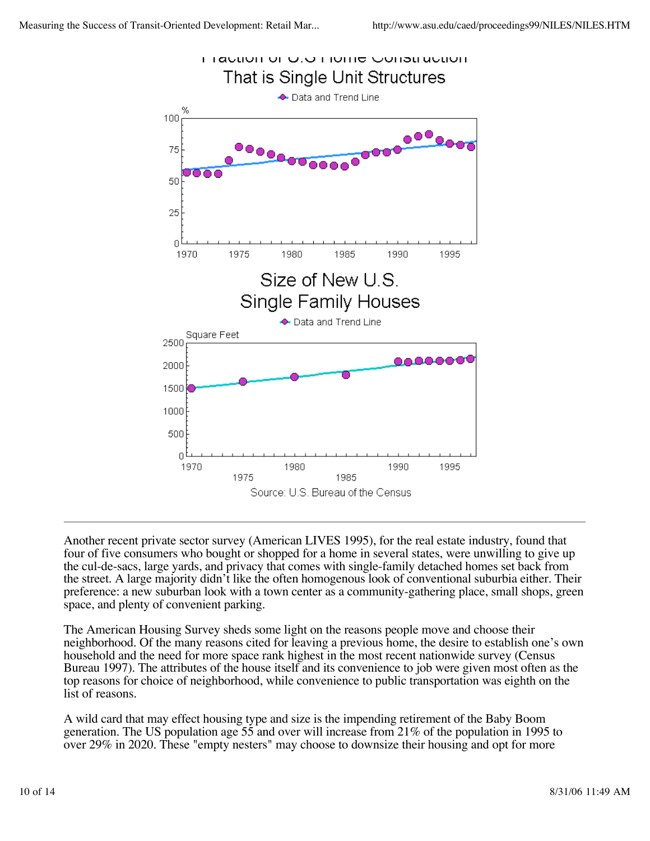

Another recent private sector survey (American LIVES 1995), for the real estate industry, found that four of five consumers who bought or shopped for a home in several states, were unwilling to give up the cul-de-sacs, large yards, and privacy that comes with single-family detached homes set back from the street. A large majority didn't like the often homogenous look of conventional suburbia either. Their preference: a new suburban look with a town center as a community-gathering place, small shops, green space, and plenty of convenient parking.

The American Housing Survey sheds some light on the reasons people move and choose their neighborhood. Of the many reasons cited for leaving a previous home, the desire to establish one's own household and the need for more space rank highest in the most recent nationwide survey (Census Bureau 1997). The attributes of the house itself and its convenience to job were given most often as the top reasons for choice of neighborhood, while convenience to public transportation was eighth on the list of reasons.

A wild card that may effect housing type and size is the impending retirement of the Baby Boom generation. The US population age 55 and over will increase from 21% of the population in 1995 to over 29% in 2020. These "empty nesters" may choose to downsize their housing and opt for more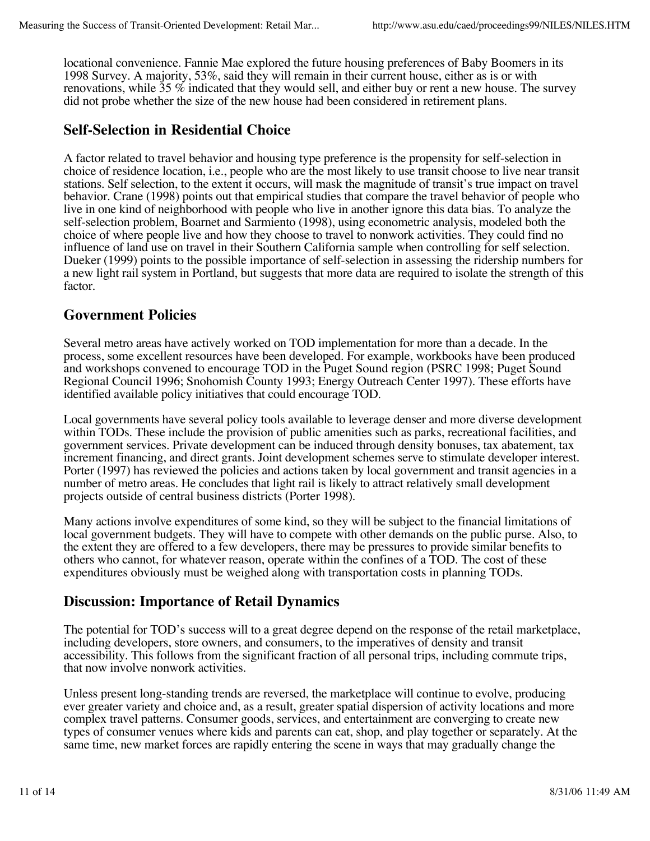locational convenience. Fannie Mae explored the future housing preferences of Baby Boomers in its 1998 Survey. A majority, 53%, said they will remain in their current house, either as is or with renovations, while 35 % indicated that they would sell, and either buy or rent a new house. The survey did not probe whether the size of the new house had been considered in retirement plans.

## **Self-Selection in Residential Choice**

A factor related to travel behavior and housing type preference is the propensity for self-selection in choice of residence location, i.e., people who are the most likely to use transit choose to live near transit stations. Self selection, to the extent it occurs, will mask the magnitude of transit's true impact on travel behavior. Crane (1998) points out that empirical studies that compare the travel behavior of people who live in one kind of neighborhood with people who live in another ignore this data bias. To analyze the self-selection problem, Boarnet and Sarmiento (1998), using econometric analysis, modeled both the choice of where people live and how they choose to travel to nonwork activities. They could find no influence of land use on travel in their Southern California sample when controlling for self selection. Dueker (1999) points to the possible importance of self-selection in assessing the ridership numbers for a new light rail system in Portland, but suggests that more data are required to isolate the strength of this factor.

#### **Government Policies**

Several metro areas have actively worked on TOD implementation for more than a decade. In the process, some excellent resources have been developed. For example, workbooks have been produced and workshops convened to encourage TOD in the Puget Sound region (PSRC 1998; Puget Sound Regional Council 1996; Snohomish County 1993; Energy Outreach Center 1997). These efforts have identified available policy initiatives that could encourage TOD.

Local governments have several policy tools available to leverage denser and more diverse development within TODs. These include the provision of public amenities such as parks, recreational facilities, and government services. Private development can be induced through density bonuses, tax abatement, tax increment financing, and direct grants. Joint development schemes serve to stimulate developer interest. Porter (1997) has reviewed the policies and actions taken by local government and transit agencies in a number of metro areas. He concludes that light rail is likely to attract relatively small development projects outside of central business districts (Porter 1998).

Many actions involve expenditures of some kind, so they will be subject to the financial limitations of local government budgets. They will have to compete with other demands on the public purse. Also, to the extent they are offered to a few developers, there may be pressures to provide similar benefits to others who cannot, for whatever reason, operate within the confines of a TOD. The cost of these expenditures obviously must be weighed along with transportation costs in planning TODs.

#### **Discussion: Importance of Retail Dynamics**

The potential for TOD's success will to a great degree depend on the response of the retail marketplace, including developers, store owners, and consumers, to the imperatives of density and transit accessibility. This follows from the significant fraction of all personal trips, including commute trips, that now involve nonwork activities.

Unless present long-standing trends are reversed, the marketplace will continue to evolve, producing ever greater variety and choice and, as a result, greater spatial dispersion of activity locations and more complex travel patterns. Consumer goods, services, and entertainment are converging to create new types of consumer venues where kids and parents can eat, shop, and play together or separately. At the same time, new market forces are rapidly entering the scene in ways that may gradually change the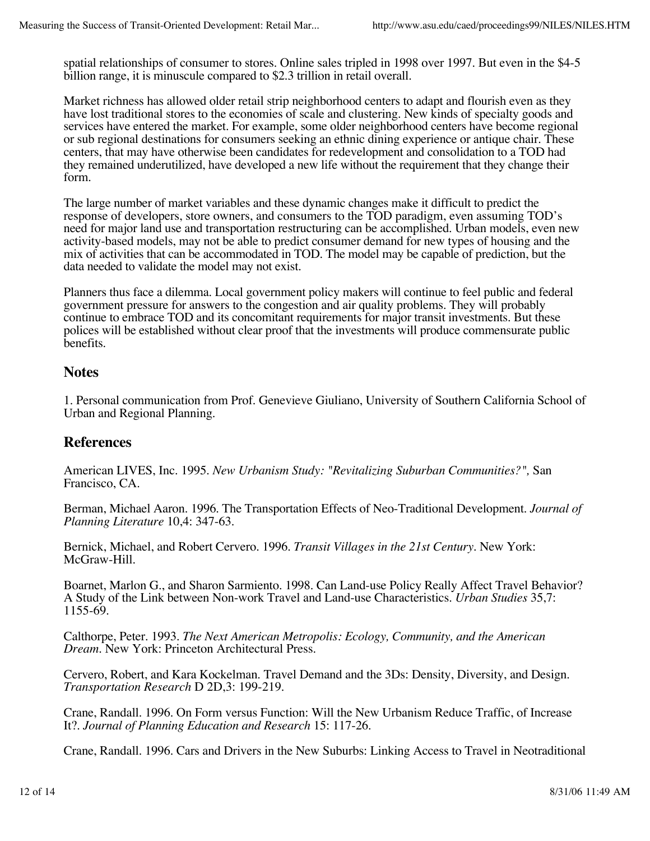spatial relationships of consumer to stores. Online sales tripled in 1998 over 1997. But even in the \$4-5 billion range, it is minuscule compared to \$2.3 trillion in retail overall.

Market richness has allowed older retail strip neighborhood centers to adapt and flourish even as they have lost traditional stores to the economies of scale and clustering. New kinds of specialty goods and services have entered the market. For example, some older neighborhood centers have become regional or sub regional destinations for consumers seeking an ethnic dining experience or antique chair. These centers, that may have otherwise been candidates for redevelopment and consolidation to a TOD had they remained underutilized, have developed a new life without the requirement that they change their form.

The large number of market variables and these dynamic changes make it difficult to predict the response of developers, store owners, and consumers to the TOD paradigm, even assuming TOD's need for major land use and transportation restructuring can be accomplished. Urban models, even new activity-based models, may not be able to predict consumer demand for new types of housing and the mix of activities that can be accommodated in TOD. The model may be capable of prediction, but the data needed to validate the model may not exist.

Planners thus face a dilemma. Local government policy makers will continue to feel public and federal government pressure for answers to the congestion and air quality problems. They will probably continue to embrace TOD and its concomitant requirements for major transit investments. But these polices will be established without clear proof that the investments will produce commensurate public benefits.

#### **Notes**

1. Personal communication from Prof. Genevieve Giuliano, University of Southern California School of Urban and Regional Planning.

#### **References**

American LIVES, Inc. 1995. *New Urbanism Study: "Revitalizing Suburban Communities?",* San Francisco, CA.

Berman, Michael Aaron. 1996. The Transportation Effects of Neo-Traditional Development. *Journal of Planning Literature* 10,4: 347-63.

Bernick, Michael, and Robert Cervero. 1996. *Transit Villages in the 21st Century*. New York: McGraw-Hill.

Boarnet, Marlon G., and Sharon Sarmiento. 1998. Can Land-use Policy Really Affect Travel Behavior? A Study of the Link between Non-work Travel and Land-use Characteristics. *Urban Studies* 35,7: 1155-69.

Calthorpe, Peter. 1993. *The Next American Metropolis: Ecology, Community, and the American Dream.* New York: Princeton Architectural Press.

Cervero, Robert, and Kara Kockelman. Travel Demand and the 3Ds: Density, Diversity, and Design. *Transportation Research* D 2D,3: 199-219.

Crane, Randall. 1996. On Form versus Function: Will the New Urbanism Reduce Traffic, of Increase It?. *Journal of Planning Education and Research* 15: 117-26.

Crane, Randall. 1996. Cars and Drivers in the New Suburbs: Linking Access to Travel in Neotraditional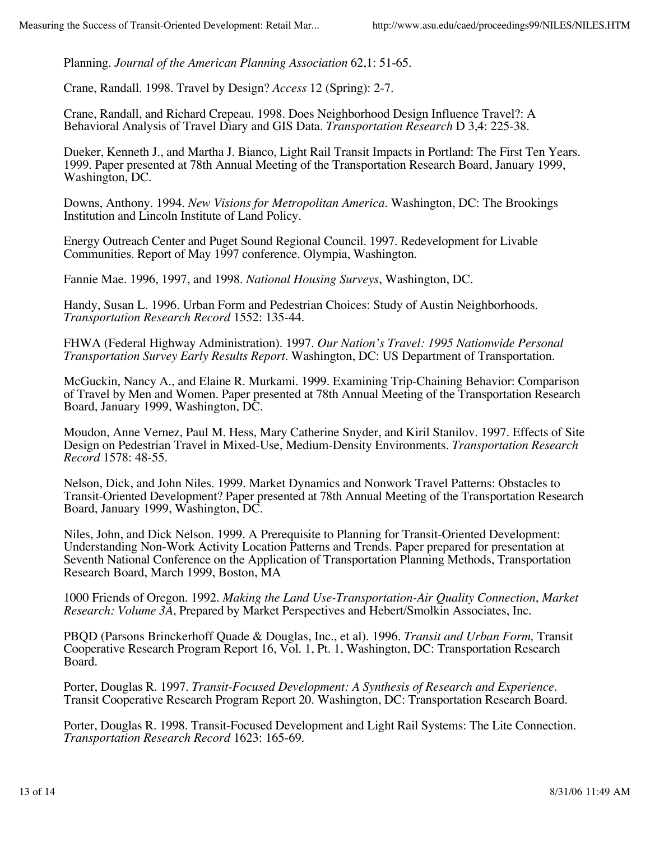Planning. *Journal of the American Planning Association* 62,1: 51-65.

Crane, Randall. 1998. Travel by Design? *Access* 12 (Spring): 2-7.

Crane, Randall, and Richard Crepeau. 1998. Does Neighborhood Design Influence Travel?: A Behavioral Analysis of Travel Diary and GIS Data. *Transportation Research* D 3,4: 225-38.

Dueker, Kenneth J., and Martha J. Bianco, Light Rail Transit Impacts in Portland: The First Ten Years. 1999. Paper presented at 78th Annual Meeting of the Transportation Research Board, January 1999, Washington, DC.

Downs, Anthony. 1994. *New Visions for Metropolitan America.* Washington, DC: The Brookings Institution and Lincoln Institute of Land Policy.

Energy Outreach Center and Puget Sound Regional Council. 1997. Redevelopment for Livable Communities. Report of May 1997 conference. Olympia, Washington.

Fannie Mae. 1996, 1997, and 1998. *National Housing Surveys*, Washington, DC.

Handy, Susan L. 1996. Urban Form and Pedestrian Choices: Study of Austin Neighborhoods. *Transportation Research Record* 1552: 135-44.

FHWA (Federal Highway Administration). 1997. *Our Nation's Travel: 1995 Nationwide Personal Transportation Survey Early Results Report.* Washington, DC: US Department of Transportation.

McGuckin, Nancy A., and Elaine R. Murkami. 1999. Examining Trip-Chaining Behavior: Comparison of Travel by Men and Women. Paper presented at 78th Annual Meeting of the Transportation Research Board, January 1999, Washington, DC.

Moudon, Anne Vernez, Paul M. Hess, Mary Catherine Snyder, and Kiril Stanilov. 1997. Effects of Site Design on Pedestrian Travel in Mixed-Use, Medium-Density Environments. *Transportation Research Record* 1578: 48-55.

Nelson, Dick, and John Niles. 1999. Market Dynamics and Nonwork Travel Patterns: Obstacles to Transit-Oriented Development? Paper presented at 78th Annual Meeting of the Transportation Research Board, January 1999, Washington, DC.

Niles, John, and Dick Nelson. 1999. A Prerequisite to Planning for Transit-Oriented Development: Understanding Non-Work Activity Location Patterns and Trends. Paper prepared for presentation at Seventh National Conference on the Application of Transportation Planning Methods, Transportation Research Board, March 1999, Boston, MA

1000 Friends of Oregon. 1992. *Making the Land Use-Transportation-Air Quality Connection*, *Market Research: Volume 3A*, Prepared by Market Perspectives and Hebert/Smolkin Associates, Inc.

PBQD (Parsons Brinckerhoff Quade & Douglas, Inc., et al). 1996. *Transit and Urban Form,* Transit Cooperative Research Program Report 16, Vol. 1, Pt. 1, Washington, DC: Transportation Research Board.

Porter, Douglas R. 1997. *Transit-Focused Development: A Synthesis of Research and Experience*. Transit Cooperative Research Program Report 20. Washington, DC: Transportation Research Board.

Porter, Douglas R. 1998. Transit-Focused Development and Light Rail Systems: The Lite Connection. *Transportation Research Record* 1623: 165-69.